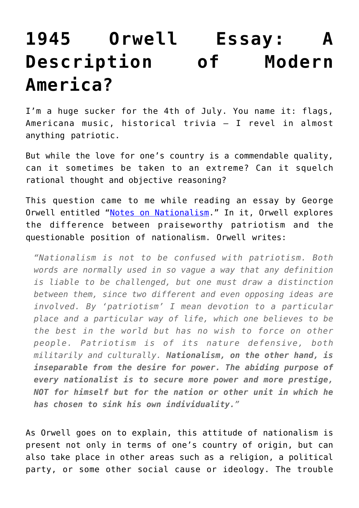## **[1945 Orwell Essay: A](https://intellectualtakeout.org/2016/06/1945-orwell-essay-a-description-of-modern-america/) [Description of Modern](https://intellectualtakeout.org/2016/06/1945-orwell-essay-a-description-of-modern-america/) [America?](https://intellectualtakeout.org/2016/06/1945-orwell-essay-a-description-of-modern-america/)**

I'm a huge sucker for the 4th of July. You name it: flags, Americana music, historical trivia – I revel in almost anything patriotic.

But while the love for one's country is a commendable quality, can it sometimes be taken to an extreme? Can it squelch rational thought and objective reasoning?

This question came to me while reading an essay by George Orwell entitled ["Notes on Nationalism.](https://www.amazon.com/gp/product/0375415033/ref=as_li_qf_sp_asin_il_tl?ie=UTF8&tag=intelltakeo0d-20&camp=1789&creative=9325&linkCode=as2&creativeASIN=0375415033&linkId=a5ee4e53fe7c3b060c16fd636e8bc8b5)" In it, Orwell explores the difference between praiseworthy patriotism and the questionable position of nationalism. Orwell writes:

*"Nationalism is not to be confused with patriotism. Both words are normally used in so vague a way that any definition is liable to be challenged, but one must draw a distinction between them, since two different and even opposing ideas are involved. By 'patriotism' I mean devotion to a particular place and a particular way of life, which one believes to be the best in the world but has no wish to force on other people. Patriotism is of its nature defensive, both militarily and culturally. Nationalism, on the other hand, is inseparable from the desire for power. The abiding purpose of every nationalist is to secure more power and more prestige, NOT for himself but for the nation or other unit in which he has chosen to sink his own individuality."*

As Orwell goes on to explain, this attitude of nationalism is present not only in terms of one's country of origin, but can also take place in other areas such as a religion, a political party, or some other social cause or ideology. The trouble